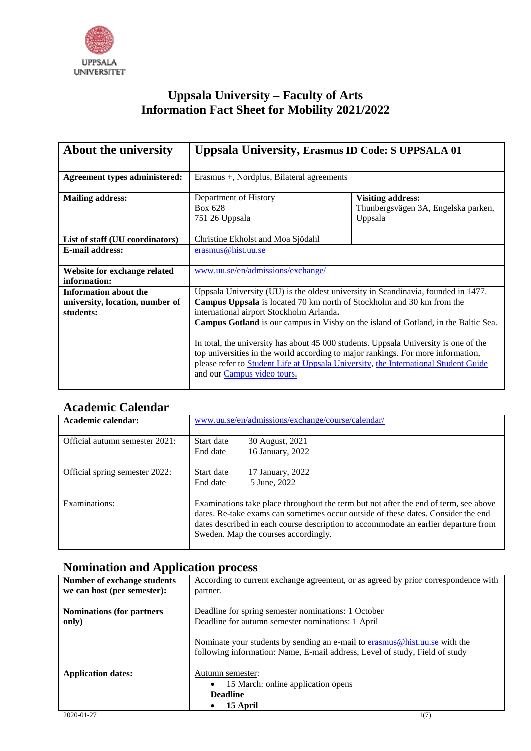

## **Uppsala University – Faculty of Arts Information Fact Sheet for Mobility 2021/2022**

| About the university                                                         | <b>Uppsala University, Erasmus ID Code: S UPPSALA 01</b>                                                                                                                                                                                                                                                                                                                                                                                                                                                                                                                                              |                                                                            |
|------------------------------------------------------------------------------|-------------------------------------------------------------------------------------------------------------------------------------------------------------------------------------------------------------------------------------------------------------------------------------------------------------------------------------------------------------------------------------------------------------------------------------------------------------------------------------------------------------------------------------------------------------------------------------------------------|----------------------------------------------------------------------------|
| Agreement types administered:                                                | Erasmus +, Nordplus, Bilateral agreements                                                                                                                                                                                                                                                                                                                                                                                                                                                                                                                                                             |                                                                            |
| <b>Mailing address:</b>                                                      | Department of History<br>Box 628<br>751 26 Uppsala                                                                                                                                                                                                                                                                                                                                                                                                                                                                                                                                                    | <b>Visiting address:</b><br>Thunbergsvägen 3A, Engelska parken,<br>Uppsala |
| List of staff (UU coordinators)                                              | Christine Ekholst and Moa Sjödahl                                                                                                                                                                                                                                                                                                                                                                                                                                                                                                                                                                     |                                                                            |
| <b>E-mail address:</b>                                                       | erasmus@hist.uu.se                                                                                                                                                                                                                                                                                                                                                                                                                                                                                                                                                                                    |                                                                            |
| Website for exchange related<br>information:                                 | www.uu.se/en/admissions/exchange/                                                                                                                                                                                                                                                                                                                                                                                                                                                                                                                                                                     |                                                                            |
| <b>Information about the</b><br>university, location, number of<br>students: | Uppsala University (UU) is the oldest university in Scandinavia, founded in 1477.<br>Campus Uppsala is located 70 km north of Stockholm and 30 km from the<br>international airport Stockholm Arlanda.<br><b>Campus Gotland</b> is our campus in Visby on the island of Gotland, in the Baltic Sea.<br>In total, the university has about 45 000 students. Uppsala University is one of the<br>top universities in the world according to major rankings. For more information,<br>please refer to Student Life at Uppsala University, the International Student Guide<br>and our Campus video tours. |                                                                            |

## **Academic Calendar**

| Academic calendar:             | www.uu.se/en/admissions/exchange/course/calendar/                                                                                                                                                                                                                                                        |
|--------------------------------|----------------------------------------------------------------------------------------------------------------------------------------------------------------------------------------------------------------------------------------------------------------------------------------------------------|
| Official autumn semester 2021: | Start date<br>30 August, 2021<br>16 January, 2022<br>End date                                                                                                                                                                                                                                            |
| Official spring semester 2022: | 17 January, 2022<br>Start date<br>5 June, 2022<br>End date                                                                                                                                                                                                                                               |
| Examinations:                  | Examinations take place throughout the term but not after the end of term, see above<br>dates. Re-take exams can sometimes occur outside of these dates. Consider the end<br>dates described in each course description to accommodate an earlier departure from<br>Sweden. Map the courses accordingly. |

## **Nomination and Application process**

| Number of exchange students<br>we can host (per semester): | According to current exchange agreement, or as agreed by prior correspondence with<br>partner.                                                            |
|------------------------------------------------------------|-----------------------------------------------------------------------------------------------------------------------------------------------------------|
| <b>Nominations (for partners)</b>                          | Deadline for spring semester nominations: 1 October                                                                                                       |
| only)                                                      | Deadline for autumn semester nominations: 1 April                                                                                                         |
|                                                            | Nominate your students by sending an e-mail to erasmus@hist.uu.se with the<br>following information: Name, E-mail address, Level of study, Field of study |
| <b>Application dates:</b>                                  | Autumn semester:                                                                                                                                          |
|                                                            | 15 March: online application opens<br>$\bullet$                                                                                                           |
|                                                            | <b>Deadline</b>                                                                                                                                           |
|                                                            | 15 April                                                                                                                                                  |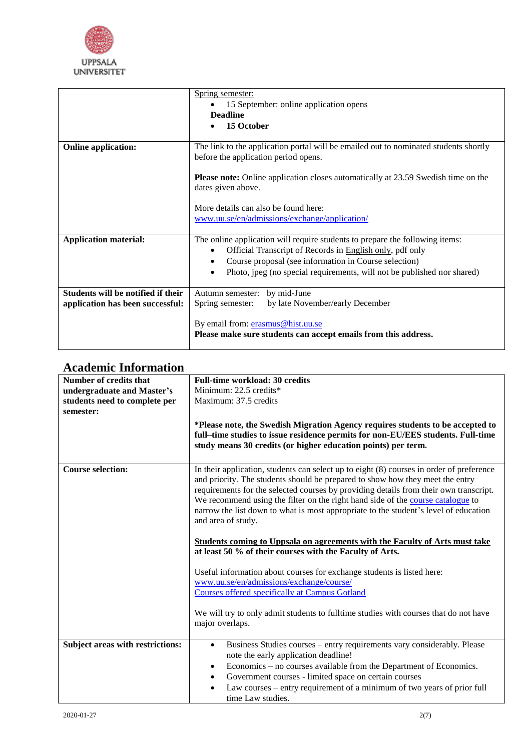

|                                                                        | Spring semester:<br>15 September: online application opens<br><b>Deadline</b><br>15 October                                                                                                                                                                                  |
|------------------------------------------------------------------------|------------------------------------------------------------------------------------------------------------------------------------------------------------------------------------------------------------------------------------------------------------------------------|
| <b>Online application:</b>                                             | The link to the application portal will be emailed out to nominated students shortly<br>before the application period opens.<br><b>Please note:</b> Online application closes automatically at 23.59 Swedish time on the                                                     |
|                                                                        | dates given above.<br>More details can also be found here:<br>www.uu.se/en/admissions/exchange/application/                                                                                                                                                                  |
| <b>Application material:</b>                                           | The online application will require students to prepare the following items:<br>Official Transcript of Records in English only, pdf only<br>Course proposal (see information in Course selection)<br>Photo, jpeg (no special requirements, will not be published nor shared) |
| Students will be notified if their<br>application has been successful: | Autumn semester: by mid-June<br>by late November/early December<br>Spring semester:                                                                                                                                                                                          |
|                                                                        | By email from: erasmus@hist.uu.se<br>Please make sure students can accept emails from this address.                                                                                                                                                                          |

## **Academic Information**

| Number of credits that           | <b>Full-time workload: 30 credits</b>                                                    |
|----------------------------------|------------------------------------------------------------------------------------------|
| undergraduate and Master's       | Minimum: 22.5 credits*                                                                   |
| students need to complete per    | Maximum: 37.5 credits                                                                    |
| semester:                        |                                                                                          |
|                                  | *Please note, the Swedish Migration Agency requires students to be accepted to           |
|                                  | full-time studies to issue residence permits for non-EU/EES students. Full-time          |
|                                  | study means 30 credits (or higher education points) per term.                            |
|                                  |                                                                                          |
| <b>Course selection:</b>         | In their application, students can select up to eight (8) courses in order of preference |
|                                  | and priority. The students should be prepared to show how they meet the entry            |
|                                  |                                                                                          |
|                                  | requirements for the selected courses by providing details from their own transcript.    |
|                                  | We recommend using the filter on the right hand side of the course catalogue to          |
|                                  | narrow the list down to what is most appropriate to the student's level of education     |
|                                  | and area of study.                                                                       |
|                                  |                                                                                          |
|                                  | Students coming to Uppsala on agreements with the Faculty of Arts must take              |
|                                  | at least 50 % of their courses with the Faculty of Arts.                                 |
|                                  | Useful information about courses for exchange students is listed here:                   |
|                                  | www.uu.se/en/admissions/exchange/course/                                                 |
|                                  | <b>Courses offered specifically at Campus Gotland</b>                                    |
|                                  |                                                                                          |
|                                  | We will try to only admit students to fulltime studies with courses that do not have     |
|                                  | major overlaps.                                                                          |
|                                  |                                                                                          |
| Subject areas with restrictions: | Business Studies courses - entry requirements vary considerably. Please<br>$\bullet$     |
|                                  | note the early application deadline!                                                     |
|                                  | Economics – no courses available from the Department of Economics.<br>٠                  |
|                                  | Government courses - limited space on certain courses<br>$\bullet$                       |
|                                  | Law courses - entry requirement of a minimum of two years of prior full                  |
|                                  | time Law studies.                                                                        |
|                                  |                                                                                          |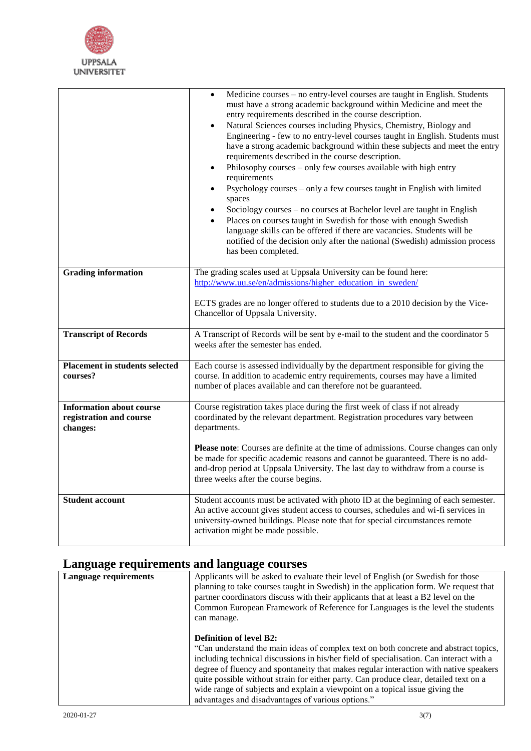

|                                                                        | Medicine courses – no entry-level courses are taught in English. Students<br>must have a strong academic background within Medicine and meet the<br>entry requirements described in the course description.<br>Natural Sciences courses including Physics, Chemistry, Biology and<br>Engineering - few to no entry-level courses taught in English. Students must<br>have a strong academic background within these subjects and meet the entry<br>requirements described in the course description.<br>Philosophy courses - only few courses available with high entry<br>requirements<br>Psychology courses - only a few courses taught in English with limited<br>spaces<br>Sociology courses - no courses at Bachelor level are taught in English<br>Places on courses taught in Swedish for those with enough Swedish<br>$\bullet$<br>language skills can be offered if there are vacancies. Students will be<br>notified of the decision only after the national (Swedish) admission process<br>has been completed. |
|------------------------------------------------------------------------|---------------------------------------------------------------------------------------------------------------------------------------------------------------------------------------------------------------------------------------------------------------------------------------------------------------------------------------------------------------------------------------------------------------------------------------------------------------------------------------------------------------------------------------------------------------------------------------------------------------------------------------------------------------------------------------------------------------------------------------------------------------------------------------------------------------------------------------------------------------------------------------------------------------------------------------------------------------------------------------------------------------------------|
| <b>Grading information</b>                                             | The grading scales used at Uppsala University can be found here:                                                                                                                                                                                                                                                                                                                                                                                                                                                                                                                                                                                                                                                                                                                                                                                                                                                                                                                                                          |
|                                                                        | http://www.uu.se/en/admissions/higher education in sweden/                                                                                                                                                                                                                                                                                                                                                                                                                                                                                                                                                                                                                                                                                                                                                                                                                                                                                                                                                                |
|                                                                        | ECTS grades are no longer offered to students due to a 2010 decision by the Vice-<br>Chancellor of Uppsala University.                                                                                                                                                                                                                                                                                                                                                                                                                                                                                                                                                                                                                                                                                                                                                                                                                                                                                                    |
| <b>Transcript of Records</b>                                           | A Transcript of Records will be sent by e-mail to the student and the coordinator 5<br>weeks after the semester has ended.                                                                                                                                                                                                                                                                                                                                                                                                                                                                                                                                                                                                                                                                                                                                                                                                                                                                                                |
| <b>Placement in students selected</b><br>courses?                      | Each course is assessed individually by the department responsible for giving the<br>course. In addition to academic entry requirements, courses may have a limited<br>number of places available and can therefore not be guaranteed.                                                                                                                                                                                                                                                                                                                                                                                                                                                                                                                                                                                                                                                                                                                                                                                    |
| <b>Information about course</b><br>registration and course<br>changes: | Course registration takes place during the first week of class if not already<br>coordinated by the relevant department. Registration procedures vary between<br>departments.                                                                                                                                                                                                                                                                                                                                                                                                                                                                                                                                                                                                                                                                                                                                                                                                                                             |
|                                                                        | <b>Please note:</b> Courses are definite at the time of admissions. Course changes can only<br>be made for specific academic reasons and cannot be guaranteed. There is no add-<br>and-drop period at Uppsala University. The last day to withdraw from a course is<br>three weeks after the course begins.                                                                                                                                                                                                                                                                                                                                                                                                                                                                                                                                                                                                                                                                                                               |
| <b>Student account</b>                                                 | Student accounts must be activated with photo ID at the beginning of each semester.<br>An active account gives student access to courses, schedules and wi-fi services in<br>university-owned buildings. Please note that for special circumstances remote<br>activation might be made possible.                                                                                                                                                                                                                                                                                                                                                                                                                                                                                                                                                                                                                                                                                                                          |

# **Language requirements and language courses**

| <b>Language requirements</b> | Applicants will be asked to evaluate their level of English (or Swedish for those<br>planning to take courses taught in Swedish) in the application form. We request that<br>partner coordinators discuss with their applicants that at least a B2 level on the<br>Common European Framework of Reference for Languages is the level the students<br>can manage.                                                                                                                                                                         |
|------------------------------|------------------------------------------------------------------------------------------------------------------------------------------------------------------------------------------------------------------------------------------------------------------------------------------------------------------------------------------------------------------------------------------------------------------------------------------------------------------------------------------------------------------------------------------|
|                              | <b>Definition of level B2:</b><br>"Can understand the main ideas of complex text on both concrete and abstract topics,<br>including technical discussions in his/her field of specialisation. Can interact with a<br>degree of fluency and spontaneity that makes regular interaction with native speakers<br>quite possible without strain for either party. Can produce clear, detailed text on a<br>wide range of subjects and explain a viewpoint on a topical issue giving the<br>advantages and disadvantages of various options." |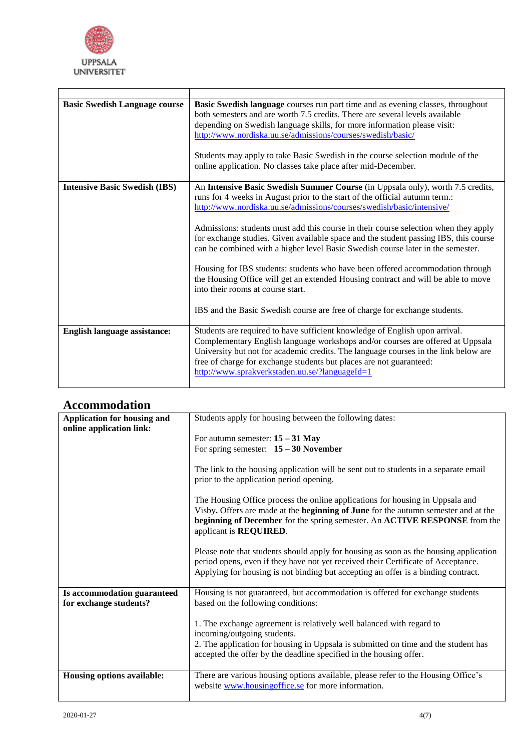

| <b>Basic Swedish Language course</b> | Basic Swedish language courses run part time and as evening classes, throughout<br>both semesters and are worth 7.5 credits. There are several levels available<br>depending on Swedish language skills, for more information please visit:<br>http://www.nordiska.uu.se/admissions/courses/swedish/basic/<br>Students may apply to take Basic Swedish in the course selection module of the<br>online application. No classes take place after mid-December. |
|--------------------------------------|---------------------------------------------------------------------------------------------------------------------------------------------------------------------------------------------------------------------------------------------------------------------------------------------------------------------------------------------------------------------------------------------------------------------------------------------------------------|
| <b>Intensive Basic Swedish (IBS)</b> | An Intensive Basic Swedish Summer Course (in Uppsala only), worth 7.5 credits,                                                                                                                                                                                                                                                                                                                                                                                |
|                                      | runs for 4 weeks in August prior to the start of the official autumn term.:                                                                                                                                                                                                                                                                                                                                                                                   |
|                                      | http://www.nordiska.uu.se/admissions/courses/swedish/basic/intensive/                                                                                                                                                                                                                                                                                                                                                                                         |
|                                      |                                                                                                                                                                                                                                                                                                                                                                                                                                                               |
|                                      | Admissions: students must add this course in their course selection when they apply                                                                                                                                                                                                                                                                                                                                                                           |
|                                      | for exchange studies. Given available space and the student passing IBS, this course<br>can be combined with a higher level Basic Swedish course later in the semester.                                                                                                                                                                                                                                                                                       |
|                                      |                                                                                                                                                                                                                                                                                                                                                                                                                                                               |
|                                      | Housing for IBS students: students who have been offered accommodation through<br>the Housing Office will get an extended Housing contract and will be able to move<br>into their rooms at course start.                                                                                                                                                                                                                                                      |
|                                      | IBS and the Basic Swedish course are free of charge for exchange students.                                                                                                                                                                                                                                                                                                                                                                                    |
| <b>English language assistance:</b>  | Students are required to have sufficient knowledge of English upon arrival.                                                                                                                                                                                                                                                                                                                                                                                   |
|                                      | Complementary English language workshops and/or courses are offered at Uppsala<br>University but not for academic credits. The language courses in the link below are<br>free of charge for exchange students but places are not guaranteed:<br>http://www.sprakverkstaden.uu.se/?languageId=1                                                                                                                                                                |
|                                      |                                                                                                                                                                                                                                                                                                                                                                                                                                                               |

#### **Accommodation**

| Application for housing and                           | Students apply for housing between the following dates:                                                                                                                                                                                                                                                                                                                                  |
|-------------------------------------------------------|------------------------------------------------------------------------------------------------------------------------------------------------------------------------------------------------------------------------------------------------------------------------------------------------------------------------------------------------------------------------------------------|
| online application link:                              | For autumn semester: $15 - 31$ May<br>For spring semester: $15 - 30$ November<br>The link to the housing application will be sent out to students in a separate email<br>prior to the application period opening.<br>The Housing Office process the online applications for housing in Uppsala and<br>Visby. Offers are made at the beginning of June for the autumn semester and at the |
|                                                       | beginning of December for the spring semester. An ACTIVE RESPONSE from the<br>applicant is <b>REQUIRED</b> .<br>Please note that students should apply for housing as soon as the housing application<br>period opens, even if they have not yet received their Certificate of Acceptance.<br>Applying for housing is not binding but accepting an offer is a binding contract.          |
| Is accommodation guaranteed<br>for exchange students? | Housing is not guaranteed, but accommodation is offered for exchange students<br>based on the following conditions:<br>1. The exchange agreement is relatively well balanced with regard to<br>incoming/outgoing students.<br>2. The application for housing in Uppsala is submitted on time and the student has                                                                         |
| Housing options available:                            | accepted the offer by the deadline specified in the housing offer.<br>There are various housing options available, please refer to the Housing Office's<br>website www.housingoffice.se for more information.                                                                                                                                                                            |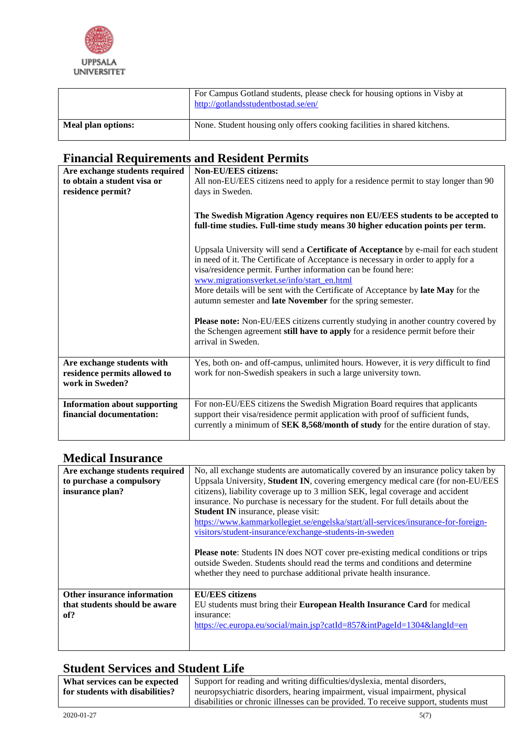

|                    | For Campus Gotland students, please check for housing options in Visby at<br>http://gotlandsstudentbostad.se/en/ |
|--------------------|------------------------------------------------------------------------------------------------------------------|
| Meal plan options: | None. Student housing only offers cooking facilities in shared kitchens.                                         |

## **Financial Requirements and Resident Permits**

| Are exchange students required<br>to obtain a student visa or<br>residence permit? | <b>Non-EU/EES citizens:</b><br>All non-EU/EES citizens need to apply for a residence permit to stay longer than 90<br>days in Sweden.<br>The Swedish Migration Agency requires non EU/EES students to be accepted to<br>full-time studies. Full-time study means 30 higher education points per term.<br>Uppsala University will send a <b>Certificate of Acceptance</b> by e-mail for each student<br>in need of it. The Certificate of Acceptance is necessary in order to apply for a |
|------------------------------------------------------------------------------------|------------------------------------------------------------------------------------------------------------------------------------------------------------------------------------------------------------------------------------------------------------------------------------------------------------------------------------------------------------------------------------------------------------------------------------------------------------------------------------------|
|                                                                                    | visa/residence permit. Further information can be found here:<br>www.migrationsverket.se/info/start_en.html<br>More details will be sent with the Certificate of Acceptance by late May for the<br>autumn semester and late November for the spring semester.<br><b>Please note:</b> Non-EU/EES citizens currently studying in another country covered by<br>the Schengen agreement still have to apply for a residence permit before their<br>arrival in Sweden.                        |
| Are exchange students with<br>residence permits allowed to<br>work in Sweden?      | Yes, both on- and off-campus, unlimited hours. However, it is very difficult to find<br>work for non-Swedish speakers in such a large university town.                                                                                                                                                                                                                                                                                                                                   |
| <b>Information about supporting</b><br>financial documentation:                    | For non-EU/EES citizens the Swedish Migration Board requires that applicants<br>support their visa/residence permit application with proof of sufficient funds,<br>currently a minimum of SEK 8,568/month of study for the entire duration of stay.                                                                                                                                                                                                                                      |

## **Medical Insurance**

| Are exchange students required | No, all exchange students are automatically covered by an insurance policy taken by                                                                                                                                                          |
|--------------------------------|----------------------------------------------------------------------------------------------------------------------------------------------------------------------------------------------------------------------------------------------|
| to purchase a compulsory       | Uppsala University, Student IN, covering emergency medical care (for non-EU/EES                                                                                                                                                              |
| insurance plan?                | citizens), liability coverage up to 3 million SEK, legal coverage and accident                                                                                                                                                               |
|                                | insurance. No purchase is necessary for the student. For full details about the                                                                                                                                                              |
|                                | Student IN insurance, please visit:                                                                                                                                                                                                          |
|                                | https://www.kammarkollegiet.se/engelska/start/all-services/insurance-for-foreign-                                                                                                                                                            |
|                                | visitors/student-insurance/exchange-students-in-sweden                                                                                                                                                                                       |
|                                |                                                                                                                                                                                                                                              |
|                                | <b>Please note:</b> Students IN does NOT cover pre-existing medical conditions or trips<br>outside Sweden. Students should read the terms and conditions and determine<br>whether they need to purchase additional private health insurance. |
| Other insurance information    | <b>EU/EES</b> citizens                                                                                                                                                                                                                       |
| that students should be aware  | EU students must bring their European Health Insurance Card for medical                                                                                                                                                                      |
| of?                            | insurance:                                                                                                                                                                                                                                   |
|                                | https://ec.europa.eu/social/main.jsp?catId=857&intPageId=1304&langId=en                                                                                                                                                                      |
|                                |                                                                                                                                                                                                                                              |
|                                |                                                                                                                                                                                                                                              |

## **Student Services and Student Life**

| What services can be expected   | Support for reading and writing difficulties/dyslexia, mental disorders,             |
|---------------------------------|--------------------------------------------------------------------------------------|
| for students with disabilities? | neuropsychiatric disorders, hearing impairment, visual impairment, physical          |
|                                 | disabilities or chronic illnesses can be provided. To receive support, students must |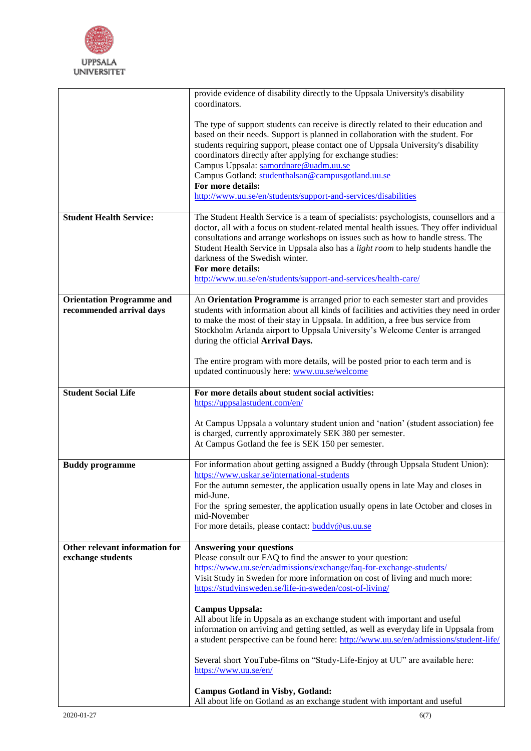

|                                                              | provide evidence of disability directly to the Uppsala University's disability<br>coordinators.                                                                                                                                                                                                                                                                                                                                                                                                                |
|--------------------------------------------------------------|----------------------------------------------------------------------------------------------------------------------------------------------------------------------------------------------------------------------------------------------------------------------------------------------------------------------------------------------------------------------------------------------------------------------------------------------------------------------------------------------------------------|
|                                                              |                                                                                                                                                                                                                                                                                                                                                                                                                                                                                                                |
|                                                              | The type of support students can receive is directly related to their education and<br>based on their needs. Support is planned in collaboration with the student. For<br>students requiring support, please contact one of Uppsala University's disability<br>coordinators directly after applying for exchange studies:<br>Campus Uppsala: samordnare@uadm.uu.se<br>Campus Gotland: studenthalsan@campusgotland.uu.se<br>For more details:<br>http://www.uu.se/en/students/support-and-services/disabilities |
| <b>Student Health Service:</b>                               | The Student Health Service is a team of specialists: psychologists, counsellors and a                                                                                                                                                                                                                                                                                                                                                                                                                          |
|                                                              | doctor, all with a focus on student-related mental health issues. They offer individual<br>consultations and arrange workshops on issues such as how to handle stress. The<br>Student Health Service in Uppsala also has a <i>light room</i> to help students handle the<br>darkness of the Swedish winter.<br>For more details:<br>http://www.uu.se/en/students/support-and-services/health-care/                                                                                                             |
|                                                              |                                                                                                                                                                                                                                                                                                                                                                                                                                                                                                                |
| <b>Orientation Programme and</b><br>recommended arrival days | An Orientation Programme is arranged prior to each semester start and provides<br>students with information about all kinds of facilities and activities they need in order<br>to make the most of their stay in Uppsala. In addition, a free bus service from<br>Stockholm Arlanda airport to Uppsala University's Welcome Center is arranged<br>during the official Arrival Days.                                                                                                                            |
|                                                              | The entire program with more details, will be posted prior to each term and is<br>updated continuously here: www.uu.se/welcome                                                                                                                                                                                                                                                                                                                                                                                 |
| <b>Student Social Life</b>                                   | For more details about student social activities:                                                                                                                                                                                                                                                                                                                                                                                                                                                              |
|                                                              | https://uppsalastudent.com/en/                                                                                                                                                                                                                                                                                                                                                                                                                                                                                 |
|                                                              | At Campus Uppsala a voluntary student union and 'nation' (student association) fee<br>is charged, currently approximately SEK 380 per semester.<br>At Campus Gotland the fee is SEK 150 per semester.                                                                                                                                                                                                                                                                                                          |
| <b>Buddy programme</b>                                       | For information about getting assigned a Buddy (through Uppsala Student Union):                                                                                                                                                                                                                                                                                                                                                                                                                                |
|                                                              | https://www.uskar.se/international-students<br>For the autumn semester, the application usually opens in late May and closes in                                                                                                                                                                                                                                                                                                                                                                                |
|                                                              | mid-June.                                                                                                                                                                                                                                                                                                                                                                                                                                                                                                      |
|                                                              | For the spring semester, the application usually opens in late October and closes in<br>mid-November                                                                                                                                                                                                                                                                                                                                                                                                           |
|                                                              | For more details, please contact: <b>buddy@us.uu.se</b>                                                                                                                                                                                                                                                                                                                                                                                                                                                        |
| Other relevant information for                               | <b>Answering your questions</b>                                                                                                                                                                                                                                                                                                                                                                                                                                                                                |
| exchange students                                            | Please consult our FAQ to find the answer to your question:                                                                                                                                                                                                                                                                                                                                                                                                                                                    |
|                                                              | https://www.uu.se/en/admissions/exchange/faq-for-exchange-students/<br>Visit Study in Sweden for more information on cost of living and much more:                                                                                                                                                                                                                                                                                                                                                             |
|                                                              | https://studyinsweden.se/life-in-sweden/cost-of-living/                                                                                                                                                                                                                                                                                                                                                                                                                                                        |
|                                                              | <b>Campus Uppsala:</b>                                                                                                                                                                                                                                                                                                                                                                                                                                                                                         |
|                                                              | All about life in Uppsala as an exchange student with important and useful                                                                                                                                                                                                                                                                                                                                                                                                                                     |
|                                                              | information on arriving and getting settled, as well as everyday life in Uppsala from<br>a student perspective can be found here: http://www.uu.se/en/admissions/student-life/                                                                                                                                                                                                                                                                                                                                 |
|                                                              |                                                                                                                                                                                                                                                                                                                                                                                                                                                                                                                |
|                                                              | Several short YouTube-films on "Study-Life-Enjoy at UU" are available here:<br>https://www.uu.se/en/                                                                                                                                                                                                                                                                                                                                                                                                           |
|                                                              | <b>Campus Gotland in Visby, Gotland:</b>                                                                                                                                                                                                                                                                                                                                                                                                                                                                       |
|                                                              | All about life on Gotland as an exchange student with important and useful                                                                                                                                                                                                                                                                                                                                                                                                                                     |